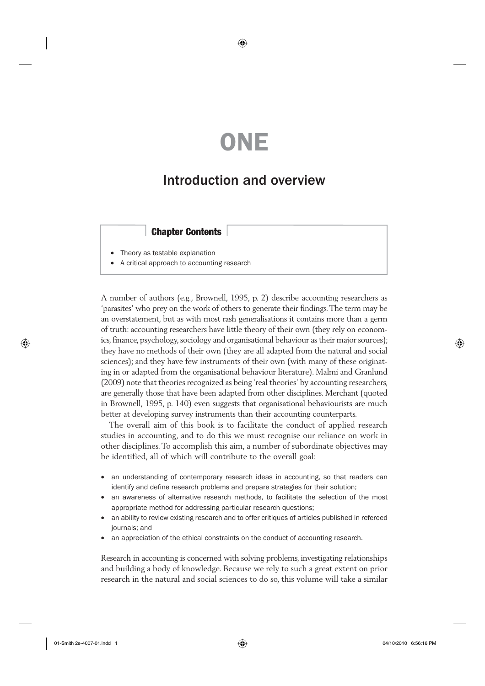# **ONE**

◈

# Introduction and overview

# **Chapter Contents**

Theory as testable explanation

A critical approach to accounting research

A number of authors (e.g., Brownell, 1995, p. 2) describe accounting researchers as 'parasites' who prey on the work of others to generate their findings. The term may be an overstatement, but as with most rash generalisations it contains more than a germ of truth: accounting researchers have little theory of their own (they rely on economics, finance, psychology, sociology and organisational behaviour as their major sources); they have no methods of their own (they are all adapted from the natural and social sciences); and they have few instruments of their own (with many of these originating in or adapted from the organisational behaviour literature). Malmi and Granlund (2009) note that theories recognized as being 'real theories' by accounting researchers, are generally those that have been adapted from other disciplines. Merchant (quoted in Brownell, 1995, p. 140) even suggests that organisational behaviourists are much better at developing survey instruments than their accounting counterparts.

The overall aim of this book is to facilitate the conduct of applied research studies in accounting, and to do this we must recognise our reliance on work in other disciplines. To accomplish this aim, a number of subordinate objectives may be identified, all of which will contribute to the overall goal:

- an understanding of contemporary research ideas in accounting, so that readers can identify and define research problems and prepare strategies for their solution;
- an awareness of alternative research methods, to facilitate the selection of the most appropriate method for addressing particular research questions;
- an ability to review existing research and to offer critiques of articles published in refereed journals; and
- an appreciation of the ethical constraints on the conduct of accounting research.

Research in accounting is concerned with solving problems, investigating relationships and building a body of knowledge. Because we rely to such a great extent on prior research in the natural and social sciences to do so, this volume will take a similar

⊕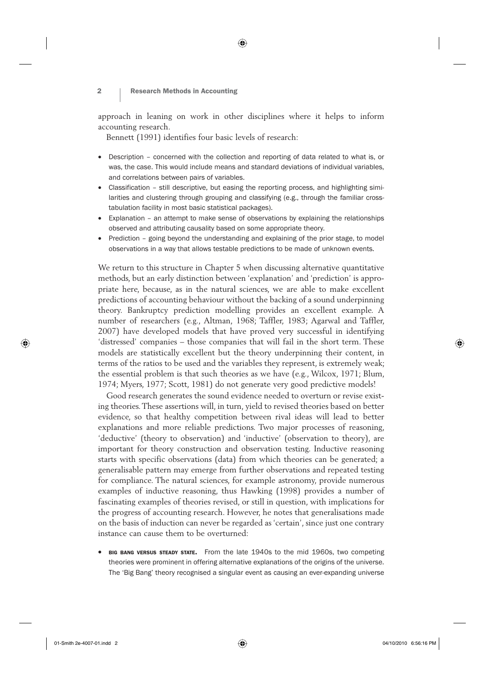approach in leaning on work in other disciplines where it helps to inform accounting research.

◈

Bennett (1991) identifies four basic levels of research:

- Description concerned with the collection and reporting of data related to what is, or was, the case. This would include means and standard deviations of individual variables, and correlations between pairs of variables.
- Classification still descriptive, but easing the reporting process, and highlighting similarities and clustering through grouping and classifying (e.g., through the familiar crosstabulation facility in most basic statistical packages).
- Explanation an attempt to make sense of observations by explaining the relationships observed and attributing causality based on some appropriate theory.
- Prediction going beyond the understanding and explaining of the prior stage, to model observations in a way that allows testable predictions to be made of unknown events.

We return to this structure in Chapter 5 when discussing alternative quantitative methods, but an early distinction between 'explanation' and 'prediction' is appropriate here, because, as in the natural sciences, we are able to make excellent predictions of accounting behaviour without the backing of a sound underpinning theory. Bankruptcy prediction modelling provides an excellent example. A number of researchers (e.g., Altman, 1968; Taffler, 1983; Agarwal and Taffler, 2007) have developed models that have proved very successful in identifying 'distressed' companies – those companies that will fail in the short term. These models are statistically excellent but the theory underpinning their content, in terms of the ratios to be used and the variables they represent, is extremely weak; the essential problem is that such theories as we have (e.g., Wilcox, 1971; Blum, 1974; Myers, 1977; Scott, 1981) do not generate very good predictive models!

Good research generates the sound evidence needed to overturn or revise existing theories. These assertions will, in turn, yield to revised theories based on better evidence, so that healthy competition between rival ideas will lead to better explanations and more reliable predictions. Two major processes of reasoning, 'deductive' (theory to observation) and 'inductive' (observation to theory), are important for theory construction and observation testing. Inductive reasoning starts with specific observations (data) from which theories can be generated; a generalisable pattern may emerge from further observations and repeated testing for compliance. The natural sciences, for example astronomy, provide numerous examples of inductive reasoning, thus Hawking (1998) provides a number of fascinating examples of theories revised, or still in question, with implications for the progress of accounting research. However, he notes that generalisations made on the basis of induction can never be regarded as 'certain', since just one contrary instance can cause them to be overturned:

BIG BANG VERSUS STEADY STATE. From the late 1940s to the mid 1960s, two competing theories were prominent in offering alternative explanations of the origins of the universe. The 'Big Bang' theory recognised a singular event as causing an ever-expanding universe

⊕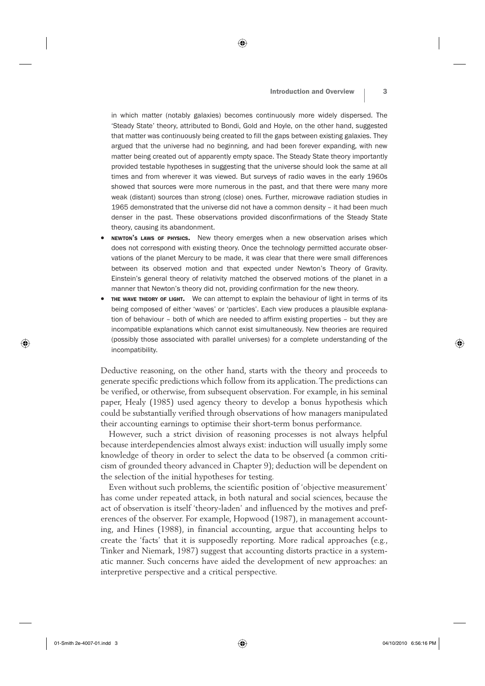in which matter (notably galaxies) becomes continuously more widely dispersed. The 'Steady State' theory, attributed to Bondi, Gold and Hoyle, on the other hand, suggested that matter was continuously being created to fill the gaps between existing galaxies. They argued that the universe had no beginning, and had been forever expanding, with new matter being created out of apparently empty space. The Steady State theory importantly provided testable hypotheses in suggesting that the universe should look the same at all times and from wherever it was viewed. But surveys of radio waves in the early 1960s showed that sources were more numerous in the past, and that there were many more weak (distant) sources than strong (close) ones. Further, microwave radiation studies in 1965 demonstrated that the universe did not have a common density – it had been much denser in the past. These observations provided disconfirmations of the Steady State theory, causing its abandonment.

◈

- NEWTON's LAWS OF PHYSICS. New theory emerges when a new observation arises which does not correspond with existing theory. Once the technology permitted accurate observations of the planet Mercury to be made, it was clear that there were small differences between its observed motion and that expected under Newton's Theory of Gravity. Einstein's general theory of relativity matched the observed motions of the planet in a manner that Newton's theory did not, providing confirmation for the new theory.
- THE WAVE THEORY OF LIGHT. We can attempt to explain the behaviour of light in terms of its being composed of either 'waves' or 'particles'. Each view produces a plausible explanation of behaviour – both of which are needed to affirm existing properties – but they are incompatible explanations which cannot exist simultaneously. New theories are required (possibly those associated with parallel universes) for a complete understanding of the incompatibility.

Deductive reasoning, on the other hand, starts with the theory and proceeds to generate specific predictions which follow from its application. The predictions can be verified, or otherwise, from subsequent observation. For example, in his seminal paper, Healy (1985) used agency theory to develop a bonus hypothesis which could be substantially verified through observations of how managers manipulated their accounting earnings to optimise their short-term bonus performance.

However, such a strict division of reasoning processes is not always helpful because interdependencies almost always exist: induction will usually imply some knowledge of theory in order to select the data to be observed (a common criticism of grounded theory advanced in Chapter 9); deduction will be dependent on the selection of the initial hypotheses for testing.

Even without such problems, the scientific position of 'objective measurement' has come under repeated attack, in both natural and social sciences, because the act of observation is itself 'theory-laden' and influenced by the motives and preferences of the observer. For example, Hopwood (1987), in management accounting, and Hines (1988), in financial accounting, argue that accounting helps to create the 'facts' that it is supposedly reporting. More radical approaches (e.g., Tinker and Niemark, 1987) suggest that accounting distorts practice in a systematic manner. Such concerns have aided the development of new approaches: an interpretive perspective and a critical perspective.

⊕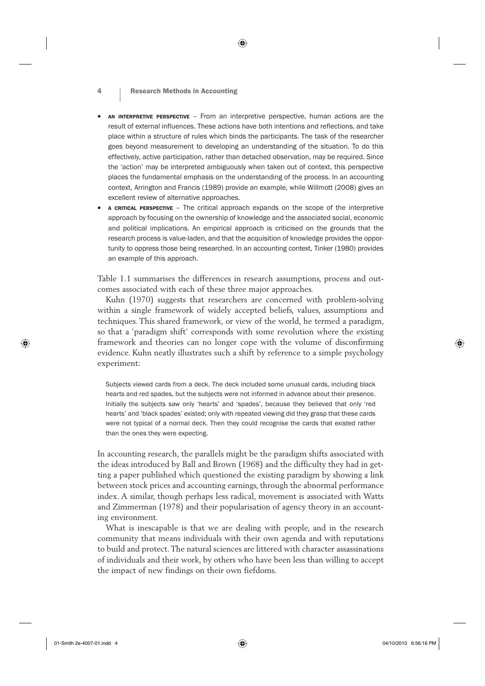AN INTERPRETIVE PERSPECTIVE - From an interpretive perspective, human actions are the result of external influences. These actions have both intentions and reflections, and take place within a structure of rules which binds the participants. The task of the researcher goes beyond measurement to developing an understanding of the situation. To do this effectively, active participation, rather than detached observation, may be required. Since the 'action' may be interpreted ambiguously when taken out of context, this perspective places the fundamental emphasis on the understanding of the process. In an accounting context, Arrington and Francis (1989) provide an example, while Willmott (2008) gives an excellent review of alternative approaches.

◈

 $A$  CRITICAL PERSPECTIVE – The critical approach expands on the scope of the interpretive approach by focusing on the ownership of knowledge and the associated social, economic and political implications. An empirical approach is criticised on the grounds that the research process is value-laden, and that the acquisition of knowledge provides the opportunity to oppress those being researched. In an accounting context, Tinker (1980) provides an example of this approach.

Table 1.1 summarises the differences in research assumptions, process and outcomes associated with each of these three major approaches.

Kuhn (1970) suggests that researchers are concerned with problem-solving within a single framework of widely accepted beliefs, values, assumptions and techniques. This shared framework, or view of the world, he termed a paradigm, so that a 'paradigm shift' corresponds with some revolution where the existing framework and theories can no longer cope with the volume of disconfirming evidence. Kuhn neatly illustrates such a shift by reference to a simple psychology experiment:

Subjects viewed cards from a deck. The deck included some unusual cards, including black hearts and red spades, but the subjects were not informed in advance about their presence. Initially the subjects saw only 'hearts' and 'spades', because they believed that only 'red hearts' and 'black spades' existed; only with repeated viewing did they grasp that these cards were not typical of a normal deck. Then they could recognise the cards that existed rather than the ones they were expecting.

In accounting research, the parallels might be the paradigm shifts associated with the ideas introduced by Ball and Brown (1968) and the difficulty they had in getting a paper published which questioned the existing paradigm by showing a link between stock prices and accounting earnings, through the abnormal performance index. A similar, though perhaps less radical, movement is associated with Watts and Zimmerman (1978) and their popularisation of agency theory in an accounting environment.

What is inescapable is that we are dealing with people, and in the research community that means individuals with their own agenda and with reputations to build and protect. The natural sciences are littered with character assassinations of individuals and their work, by others who have been less than willing to accept the impact of new findings on their own fiefdoms.

⊕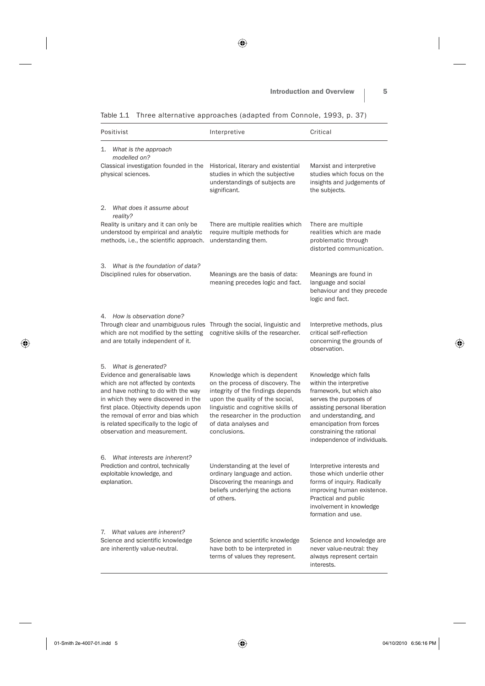Table 1.1 Three alternative approaches (adapted from Connole, 1993, p. 37)

 $\bigoplus$ 

| Positivist                                                                                                                                                                                                                                                                                                                               | Interpretive                                                                                                                                                                                                                                               | Critical                                                                                                                                                                                                                                                    |
|------------------------------------------------------------------------------------------------------------------------------------------------------------------------------------------------------------------------------------------------------------------------------------------------------------------------------------------|------------------------------------------------------------------------------------------------------------------------------------------------------------------------------------------------------------------------------------------------------------|-------------------------------------------------------------------------------------------------------------------------------------------------------------------------------------------------------------------------------------------------------------|
| What is the approach<br>1.<br>modelled on?<br>Classical investigation founded in the<br>physical sciences.                                                                                                                                                                                                                               | Historical, literary and existential<br>studies in which the subjective<br>understandings of subjects are<br>significant.                                                                                                                                  | Marxist and interpretive<br>studies which focus on the<br>insights and judgements of<br>the subjects.                                                                                                                                                       |
| 2.<br>What does it assume about<br>reality?<br>Reality is unitary and it can only be<br>understood by empirical and analytic<br>methods, i.e., the scientific approach.                                                                                                                                                                  | There are multiple realities which<br>require multiple methods for<br>understanding them.                                                                                                                                                                  | There are multiple<br>realities which are made<br>problematic through<br>distorted communication.                                                                                                                                                           |
| What is the foundation of data?<br>З.<br>Disciplined rules for observation.                                                                                                                                                                                                                                                              | Meanings are the basis of data:<br>meaning precedes logic and fact.                                                                                                                                                                                        | Meanings are found in<br>language and social<br>behaviour and they precede<br>logic and fact.                                                                                                                                                               |
| 4. How is observation done?<br>Through clear and unambiguous rules<br>which are not modified by the setting<br>and are totally independent of it.                                                                                                                                                                                        | Through the social, linguistic and<br>cognitive skills of the researcher.                                                                                                                                                                                  | Interpretive methods, plus<br>critical self-reflection<br>concerning the grounds of<br>observation.                                                                                                                                                         |
| 5. What is generated?<br>Evidence and generalisable laws<br>which are not affected by contexts<br>and have nothing to do with the way<br>in which they were discovered in the<br>first place. Objectivity depends upon<br>the removal of error and bias which<br>is related specifically to the logic of<br>observation and measurement. | Knowledge which is dependent<br>on the process of discovery. The<br>integrity of the findings depends<br>upon the quality of the social,<br>linguistic and cognitive skills of<br>the researcher in the production<br>of data analyses and<br>conclusions. | Knowledge which falls<br>within the interpretive<br>framework, but which also<br>serves the purposes of<br>assisting personal liberation<br>and understanding, and<br>emancipation from forces<br>constraining the rational<br>independence of individuals. |
| What interests are inherent?<br>6.<br>Prediction and control, technically<br>exploitable knowledge, and<br>explanation.                                                                                                                                                                                                                  | Understanding at the level of<br>ordinary language and action.<br>Discovering the meanings and<br>beliefs underlying the actions<br>of others.                                                                                                             | Interpretive interests and<br>those which underlie other<br>forms of inquiry. Radically<br>improving human existence.<br>Practical and public<br>involvement in knowledge<br>formation and use.                                                             |
| What values are inherent?<br>7.<br>Science and scientific knowledge<br>are inherently value-neutral.                                                                                                                                                                                                                                     | Science and scientific knowledge<br>have both to be interpreted in<br>terms of values they represent.                                                                                                                                                      | Science and knowledge are<br>never value-neutral: they<br>always represent certain<br>interests.                                                                                                                                                            |

 $\bigoplus$ 

 $\bigoplus$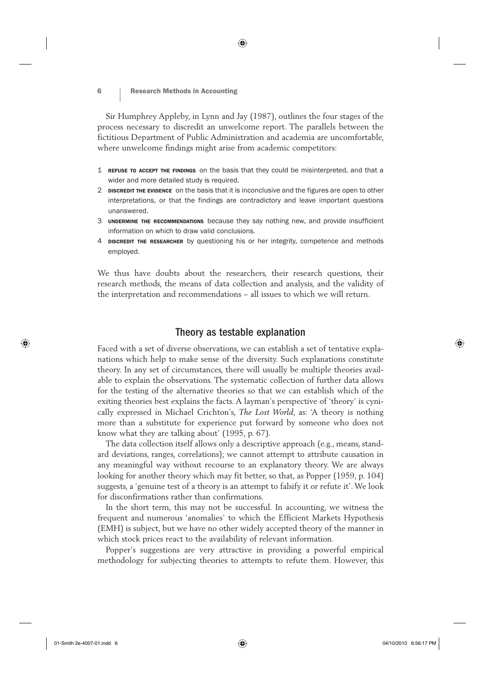Sir Humphrey Appleby, in Lynn and Jay (1987), outlines the four stages of the process necessary to discredit an unwelcome report. The parallels between the fictitious Department of Public Administration and academia are uncomfortable, where unwelcome findings might arise from academic competitors:

◈

- 1 REFUSE TO ACCEPT THE FINDINGS on the basis that they could be misinterpreted, and that a wider and more detailed study is required.
- 2 **DISCREDIT THE EVIDENCE** on the basis that it is inconclusive and the figures are open to other interpretations, or that the findings are contradictory and leave important questions unanswered.
- 3 UNDERMINE THE RECOMMENDATIONS because they say nothing new, and provide insufficient information on which to draw valid conclusions.
- 4 DISCREDIT THE RESEARCHER by questioning his or her integrity, competence and methods employed.

We thus have doubts about the researchers, their research questions, their research methods, the means of data collection and analysis, and the validity of the interpretation and recommendations – all issues to which we will return.

Faced with a set of diverse observations, we can establish a set of tentative explanations which help to make sense of the diversity. Such explanations constitute theory. In any set of circumstances, there will usually be multiple theories available to explain the observations. The systematic collection of further data allows for the testing of the alternative theories so that we can establish which of the exiting theories best explains the facts. A layman's perspective of 'theory' is cynically expressed in Michael Crichton's, *The Lost World*, as: 'A theory is nothing more than a substitute for experience put forward by someone who does not know what they are talking about' (1995, p. 67).

The data collection itself allows only a descriptive approach (e.g., means, standard deviations, ranges, correlations); we cannot attempt to attribute causation in any meaningful way without recourse to an explanatory theory. We are always looking for another theory which may fit better, so that, as Popper (1959, p. 104) suggests, a 'genuine test of a theory is an attempt to falsify it or refute it'. We look for disconfirmations rather than confirmations.

In the short term, this may not be successful. In accounting, we witness the frequent and numerous 'anomalies' to which the Efficient Markets Hypothesis (EMH) is subject, but we have no other widely accepted theory of the manner in which stock prices react to the availability of relevant information.

Popper's suggestions are very attractive in providing a powerful empirical methodology for subjecting theories to attempts to refute them. However, this

⊕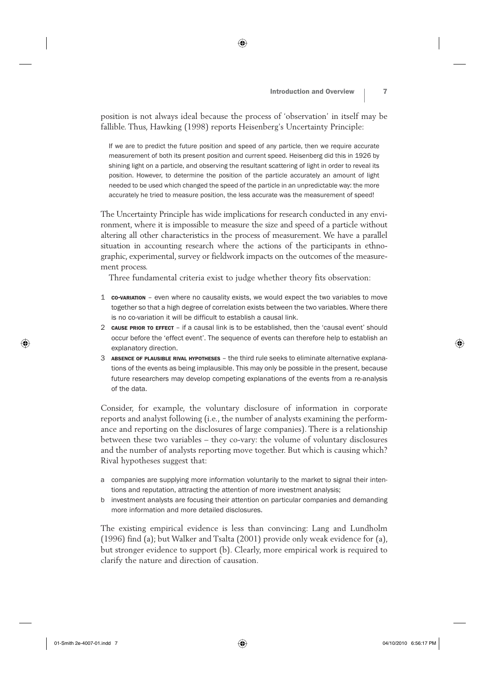position is not always ideal because the process of 'observation' in itself may be fallible. Thus, Hawking (1998) reports Heisenberg's Uncertainty Principle:

◈

If we are to predict the future position and speed of any particle, then we require accurate measurement of both its present position and current speed. Heisenberg did this in 1926 by shining light on a particle, and observing the resultant scattering of light in order to reveal its position. However, to determine the position of the particle accurately an amount of light needed to be used which changed the speed of the particle in an unpredictable way: the more accurately he tried to measure position, the less accurate was the measurement of speed!

The Uncertainty Principle has wide implications for research conducted in any environment, where it is impossible to measure the size and speed of a particle without altering all other characteristics in the process of measurement. We have a parallel situation in accounting research where the actions of the participants in ethnographic, experimental, survey or fieldwork impacts on the outcomes of the measurement process.

Three fundamental criteria exist to judge whether theory fits observation:

- 1 CO-VARIATION even where no causality exists, we would expect the two variables to move together so that a high degree of correlation exists between the two variables. Where there is no co-variation it will be difficult to establish a causal link.
- 2 CAUSE PRIOR TO EFFECT if a causal link is to be established, then the 'causal event' should occur before the 'effect event'. The sequence of events can therefore help to establish an explanatory direction.
- 3 ABSENCE OF PLAUSIBLE RIVAL HYPOTHESES the third rule seeks to eliminate alternative explanations of the events as being implausible. This may only be possible in the present, because future researchers may develop competing explanations of the events from a re-analysis of the data.

Consider, for example, the voluntary disclosure of information in corporate reports and analyst following (i.e., the number of analysts examining the performance and reporting on the disclosures of large companies). There is a relationship between these two variables – they co-vary: the volume of voluntary disclosures and the number of analysts reporting move together. But which is causing which? Rival hypotheses suggest that:

- a companies are supplying more information voluntarily to the market to signal their intentions and reputation, attracting the attention of more investment analysis;
- b investment analysts are focusing their attention on particular companies and demanding more information and more detailed disclosures.

The existing empirical evidence is less than convincing: Lang and Lundholm (1996) find (a); but Walker and Tsalta (2001) provide only weak evidence for (a), but stronger evidence to support (b). Clearly, more empirical work is required to clarify the nature and direction of causation.

⊕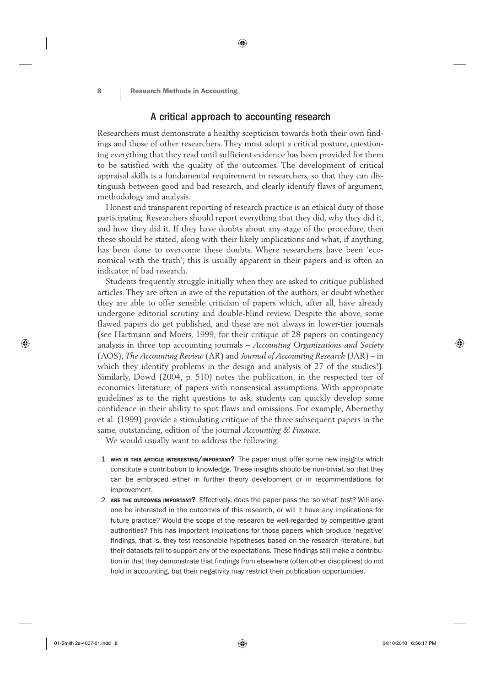◈

Researchers must demonstrate a healthy scepticism towards both their own findings and those of other researchers. They must adopt a critical posture, questioning everything that they read until sufficient evidence has been provided for them to be satisfied with the quality of the outcomes. The development of critical appraisal skills is a fundamental requirement in researchers, so that they can distinguish between good and bad research, and clearly identify flaws of argument, methodology and analysis.

Honest and transparent reporting of research practice is an ethical duty of those participating. Researchers should report everything that they did, why they did it, and how they did it. If they have doubts about any stage of the procedure, then these should be stated, along with their likely implications and what, if anything, has been done to overcome these doubts. Where researchers have been 'economical with the truth', this is usually apparent in their papers and is often an indicator of bad research.

Students frequently struggle initially when they are asked to critique published articles. They are often in awe of the reputation of the authors, or doubt whether they are able to offer sensible criticism of papers which, after all, have already undergone editorial scrutiny and double-blind review. Despite the above, some flawed papers do get published, and these are not always in lower-tier journals (see Hartmann and Moers, 1999, for their critique of 28 papers on contingency analysis in three top accounting journals – *Accounting Organizations and Society* (AOS), *The Accounting Review* (AR) and *Journal of Accounting Research* (JAR) – in which they identify problems in the design and analysis of 27 of the studies!). Similarly, Dowd (2004, p. 510) notes the publication, in the respected tier of economics literature, of papers with nonsensical assumptions. With appropriate guidelines as to the right questions to ask, students can quickly develop some confidence in their ability to spot flaws and omissions. For example, Abernethy et al. (1999) provide a stimulating critique of the three subsequent papers in the same, outstanding, edition of the journal *Accounting & Finance*.

We would usually want to address the following:

- 1 WHY IS THIS ARTICLE INTERESTING/IMPORTANT? The paper must offer some new insights which constitute a contribution to knowledge. These insights should be non-trivial, so that they can be embraced either in further theory development or in recommendations for improvement.
- 2 ARE THE OUTCOMES IMPORTANT? Effectively, does the paper pass the 'so what' test? Will anyone be interested in the outcomes of this research, or will it have any implications for future practice? Would the scope of the research be well-regarded by competitive grant authorities? This has important implications for those papers which produce 'negative' findings, that is, they test reasonable hypotheses based on the research literature, but their datasets fail to support any of the expectations. These findings still make a contribution in that they demonstrate that findings from elsewhere (often other disciplines) do not hold in accounting, but their negativity may restrict their publication opportunities.

⊕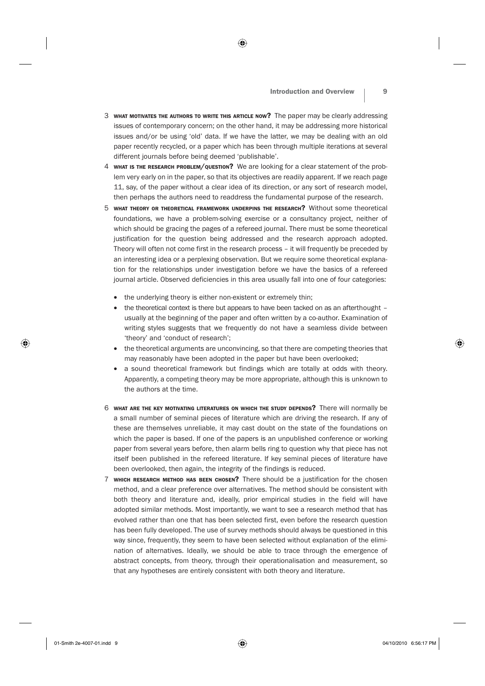3 WHAT MOTIVATES THE AUTHORS TO WRITE THIS ARTICLE NOW? The paper may be clearly addressing issues of contemporary concern; on the other hand, it may be addressing more historical issues and/or be using 'old' data. If we have the latter, we may be dealing with an old paper recently recycled, or a paper which has been through multiple iterations at several different journals before being deemed 'publishable'.

◈

- 4 WHAT IS THE RESEARCH PROBLEM/QUESTION? We are looking for a clear statement of the problem very early on in the paper, so that its objectives are readily apparent. If we reach page 11, say, of the paper without a clear idea of its direction, or any sort of research model, then perhaps the authors need to readdress the fundamental purpose of the research.
- 5 WHAT THEORY OR THEORETICAL FRAMEWORK UNDERPINS THE RESEARCH? Without some theoretical foundations, we have a problem-solving exercise or a consultancy project, neither of which should be gracing the pages of a refereed journal. There must be some theoretical justification for the question being addressed and the research approach adopted. Theory will often not come first in the research process – it will frequently be preceded by an interesting idea or a perplexing observation. But we require some theoretical explanation for the relationships under investigation before we have the basics of a refereed journal article. Observed deficiencies in this area usually fall into one of four categories:
	- the underlying theory is either non-existent or extremely thin;
	- the theoretical context is there but appears to have been tacked on as an afterthought usually at the beginning of the paper and often written by a co-author. Examination of writing styles suggests that we frequently do not have a seamless divide between 'theory' and 'conduct of research';
	- the theoretical arguments are unconvincing, so that there are competing theories that may reasonably have been adopted in the paper but have been overlooked;
	- a sound theoretical framework but findings which are totally at odds with theory. Apparently, a competing theory may be more appropriate, although this is unknown to the authors at the time.
- 6 WHAT ARE THE KEY MOTIVATING LITERATURES ON WHICH THE STUDY DEPENDS? There will normally be a small number of seminal pieces of literature which are driving the research. If any of these are themselves unreliable, it may cast doubt on the state of the foundations on which the paper is based. If one of the papers is an unpublished conference or working paper from several years before, then alarm bells ring to question why that piece has not itself been published in the refereed literature. If key seminal pieces of literature have been overlooked, then again, the integrity of the findings is reduced.
- 7 WHICH RESEARCH METHOD HAS BEEN CHOSEN? There should be a justification for the chosen method, and a clear preference over alternatives. The method should be consistent with both theory and literature and, ideally, prior empirical studies in the field will have adopted similar methods. Most importantly, we want to see a research method that has evolved rather than one that has been selected first, even before the research question has been fully developed. The use of survey methods should always be questioned in this way since, frequently, they seem to have been selected without explanation of the elimination of alternatives. Ideally, we should be able to trace through the emergence of abstract concepts, from theory, through their operationalisation and measurement, so that any hypotheses are entirely consistent with both theory and literature.

⊕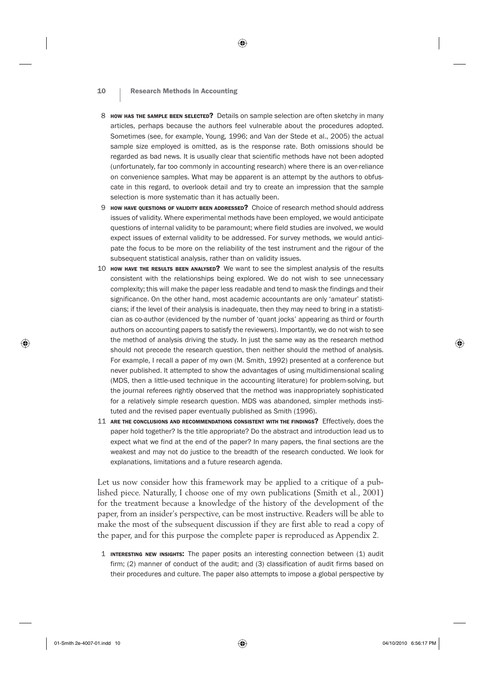8 HOW HAS THE SAMPLE BEEN SELECTED? Details on sample selection are often sketchy in many articles, perhaps because the authors feel vulnerable about the procedures adopted. Sometimes (see, for example, Young, 1996; and Van der Stede et al., 2005) the actual sample size employed is omitted, as is the response rate. Both omissions should be regarded as bad news. It is usually clear that scientific methods have not been adopted (unfortunately, far too commonly in accounting research) where there is an over-reliance on convenience samples. What may be apparent is an attempt by the authors to obfuscate in this regard, to overlook detail and try to create an impression that the sample selection is more systematic than it has actually been.

◈

- 9 HOW HAVE QUESTIONS OF VALIDITY BEEN ADDRESSED? Choice of research method should address issues of validity. Where experimental methods have been employed, we would anticipate questions of internal validity to be paramount; where field studies are involved, we would expect issues of external validity to be addressed. For survey methods, we would anticipate the focus to be more on the reliability of the test instrument and the rigour of the subsequent statistical analysis, rather than on validity issues.
- 10 HOW HAVE THE RESULTS BEEN ANALYSED? We want to see the simplest analysis of the results consistent with the relationships being explored. We do not wish to see unnecessary complexity; this will make the paper less readable and tend to mask the findings and their significance. On the other hand, most academic accountants are only 'amateur' statisticians; if the level of their analysis is inadequate, then they may need to bring in a statistician as co-author (evidenced by the number of 'quant jocks' appearing as third or fourth authors on accounting papers to satisfy the reviewers). Importantly, we do not wish to see the method of analysis driving the study. In just the same way as the research method should not precede the research question, then neither should the method of analysis. For example, I recall a paper of my own (M. Smith, 1992) presented at a conference but never published. It attempted to show the advantages of using multidimensional scaling (MDS, then a little-used technique in the accounting literature) for problem-solving, but the journal referees rightly observed that the method was inappropriately sophisticated for a relatively simple research question. MDS was abandoned, simpler methods instituted and the revised paper eventually published as Smith (1996).
- 11 ARE THE CONCLUSIONS AND RECOMMENDATIONS CONSISTENT WITH THE FINDINGS? Effectively, does the paper hold together? Is the title appropriate? Do the abstract and introduction lead us to expect what we find at the end of the paper? In many papers, the final sections are the weakest and may not do justice to the breadth of the research conducted. We look for explanations, limitations and a future research agenda.

Let us now consider how this framework may be applied to a critique of a published piece. Naturally, I choose one of my own publications (Smith et al., 2001) for the treatment because a knowledge of the history of the development of the paper, from an insider's perspective, can be most instructive. Readers will be able to make the most of the subsequent discussion if they are first able to read a copy of the paper, and for this purpose the complete paper is reproduced as Appendix 2.

1 INTERESTING NEW INSIGHTS: The paper posits an interesting connection between (1) audit firm; (2) manner of conduct of the audit; and (3) classification of audit firms based on their procedures and culture. The paper also attempts to impose a global perspective by

⊕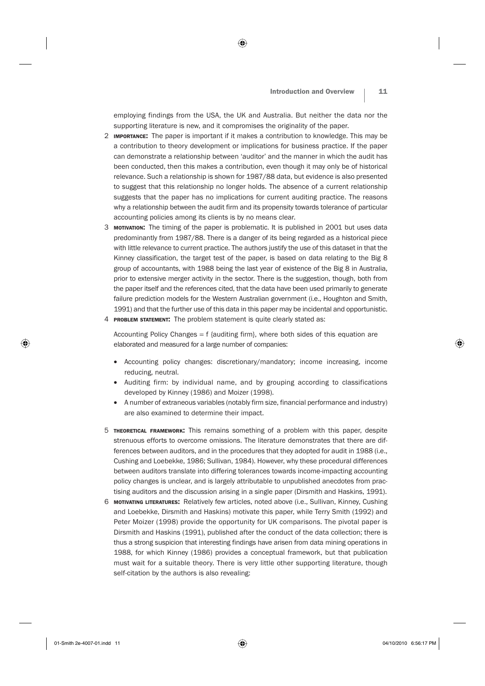employing findings from the USA, the UK and Australia. But neither the data nor the supporting literature is new, and it compromises the originality of the paper.

◈

- 2 IMPORTANCE: The paper is important if it makes a contribution to knowledge. This may be a contribution to theory development or implications for business practice. If the paper can demonstrate a relationship between 'auditor' and the manner in which the audit has been conducted, then this makes a contribution, even though it may only be of historical relevance. Such a relationship is shown for 1987/88 data, but evidence is also presented to suggest that this relationship no longer holds. The absence of a current relationship suggests that the paper has no implications for current auditing practice. The reasons why a relationship between the audit firm and its propensity towards tolerance of particular accounting policies among its clients is by no means clear.
- 3 MOTIVATION: The timing of the paper is problematic. It is published in 2001 but uses data predominantly from 1987/88. There is a danger of its being regarded as a historical piece with little relevance to current practice. The authors justify the use of this dataset in that the Kinney classification, the target test of the paper, is based on data relating to the Big 8 group of accountants, with 1988 being the last year of existence of the Big 8 in Australia, prior to extensive merger activity in the sector. There is the suggestion, though, both from the paper itself and the references cited, that the data have been used primarily to generate failure prediction models for the Western Australian government (i.e., Houghton and Smith, 1991) and that the further use of this data in this paper may be incidental and opportunistic.
- 4 PROBLEM STATEMENT: The problem statement is quite clearly stated as:

Accounting Policy Changes  $= f$  {auditing firm}, where both sides of this equation are elaborated and measured for a large number of companies:

- v Accounting policy changes: discretionary/mandatory; income increasing, income reducing, neutral.
- Auditing firm: by individual name, and by grouping according to classifications developed by Kinney (1986) and Moizer (1998).
- v A number of extraneous variables (notably firm size, financial performance and industry) are also examined to determine their impact.
- 5 THEORETICAL FRAMEWORK: This remains something of a problem with this paper, despite strenuous efforts to overcome omissions. The literature demonstrates that there are differences between auditors, and in the procedures that they adopted for audit in 1988 (i.e., Cushing and Loebekke, 1986; Sullivan, 1984). However, why these procedural differences between auditors translate into differing tolerances towards income-impacting accounting policy changes is unclear, and is largely attributable to unpublished anecdotes from practising auditors and the discussion arising in a single paper (Dirsmith and Haskins, 1991).
- 6 MOTIVATING LITERATURES: Relatively few articles, noted above (i.e., Sullivan, Kinney, Cushing and Loebekke, Dirsmith and Haskins) motivate this paper, while Terry Smith (1992) and Peter Moizer (1998) provide the opportunity for UK comparisons. The pivotal paper is Dirsmith and Haskins (1991), published after the conduct of the data collection; there is thus a strong suspicion that interesting findings have arisen from data mining operations in 1988, for which Kinney (1986) provides a conceptual framework, but that publication must wait for a suitable theory. There is very little other supporting literature, though self-citation by the authors is also revealing:

⊕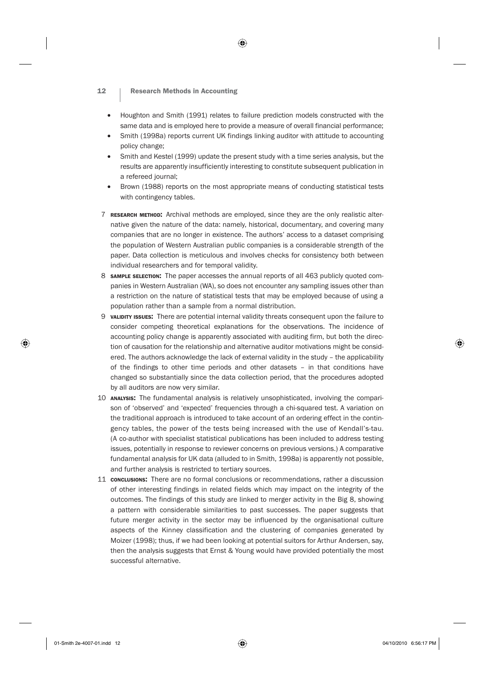Houghton and Smith (1991) relates to failure prediction models constructed with the same data and is employed here to provide a measure of overall financial performance;

◈

- Smith (1998a) reports current UK findings linking auditor with attitude to accounting policy change;
- Smith and Kestel (1999) update the present study with a time series analysis, but the results are apparently insufficiently interesting to constitute subsequent publication in a refereed journal;
- Brown (1988) reports on the most appropriate means of conducting statistical tests with contingency tables.
- 7 RESEARCH METHOD: Archival methods are employed, since they are the only realistic alternative given the nature of the data: namely, historical, documentary, and covering many companies that are no longer in existence. The authors' access to a dataset comprising the population of Western Australian public companies is a considerable strength of the paper. Data collection is meticulous and involves checks for consistency both between individual researchers and for temporal validity.
- 8 **SAMPLE SELECTION:** The paper accesses the annual reports of all 463 publicly quoted companies in Western Australian (WA), so does not encounter any sampling issues other than a restriction on the nature of statistical tests that may be employed because of using a population rather than a sample from a normal distribution.
- 9 validity issues: There are potential internal validity threats consequent upon the failure to consider competing theoretical explanations for the observations. The incidence of accounting policy change is apparently associated with auditing firm, but both the direction of causation for the relationship and alternative auditor motivations might be considered. The authors acknowledge the lack of external validity in the study – the applicability of the findings to other time periods and other datasets – in that conditions have changed so substantially since the data collection period, that the procedures adopted by all auditors are now very similar.
- 10 ANALYSIS: The fundamental analysis is relatively unsophisticated, involving the comparison of 'observed' and 'expected' frequencies through a chi-squared test. A variation on the traditional approach is introduced to take account of an ordering effect in the contingency tables, the power of the tests being increased with the use of Kendall's-tau. (A co-author with specialist statistical publications has been included to address testing issues, potentially in response to reviewer concerns on previous versions.) A comparative fundamental analysis for UK data (alluded to in Smith, 1998a) is apparently not possible, and further analysis is restricted to tertiary sources.
- 11 conclusions: There are no formal conclusions or recommendations, rather a discussion of other interesting findings in related fields which may impact on the integrity of the outcomes. The findings of this study are linked to merger activity in the Big 8, showing a pattern with considerable similarities to past successes. The paper suggests that future merger activity in the sector may be influenced by the organisational culture aspects of the Kinney classification and the clustering of companies generated by Moizer (1998); thus, if we had been looking at potential suitors for Arthur Andersen, say, then the analysis suggests that Ernst & Young would have provided potentially the most successful alternative.

⊕